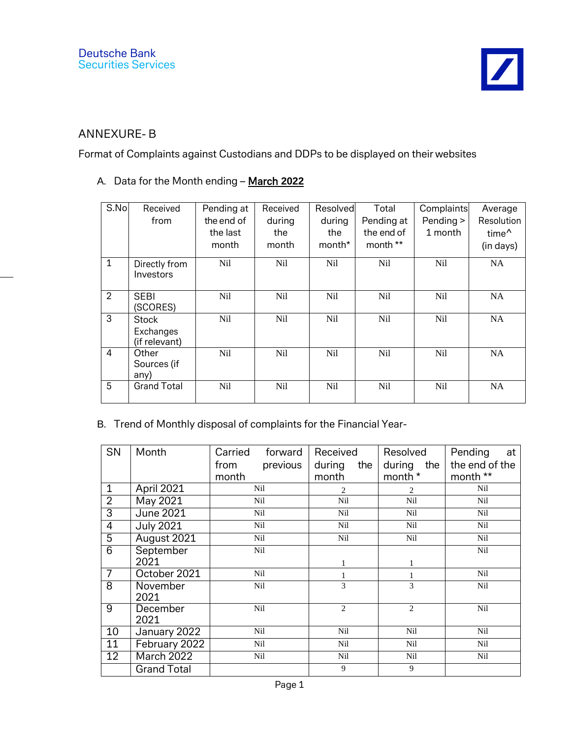## ANNEXURE- B

Format of Complaints against Custodians and DDPs to be displayed on their websites

## A. Data for the Month ending – March **2022**

| S.No           | Received<br>from                           | Pending at<br>the end of<br>the last<br>month | Received<br>during<br>the<br>month | Resolved<br>during<br>the<br>month* | Total<br>Pending at<br>the end of<br>month ** | Complaints<br>Pending ><br>1 month | Average<br>Resolution<br>time <sup>^</sup><br>(in days) |
|----------------|--------------------------------------------|-----------------------------------------------|------------------------------------|-------------------------------------|-----------------------------------------------|------------------------------------|---------------------------------------------------------|
| $\mathbf{1}$   | Directly from<br>Investors                 | Nil                                           | Nil                                | Nil                                 | Nil                                           | Nil                                | <b>NA</b>                                               |
| $\overline{2}$ | <b>SEBI</b><br>(SCORES)                    | Nil                                           | N <sub>il</sub>                    | Nil                                 | Nil                                           | Nil                                | <b>NA</b>                                               |
| 3              | <b>Stock</b><br>Exchanges<br>(if relevant) | N <sub>il</sub>                               | Nil                                | N <sub>il</sub>                     | Nil                                           | Nil                                | <b>NA</b>                                               |
| $\overline{4}$ | Other<br>Sources (if<br>any)               | N <sub>il</sub>                               | N <sub>il</sub>                    | N <sub>il</sub>                     | Nil                                           | N <sub>il</sub>                    | <b>NA</b>                                               |
| 5              | <b>Grand Total</b>                         | N <sub>il</sub>                               | N <sub>il</sub>                    | N <sub>il</sub>                     | N <sub>il</sub>                               | N <sub>il</sub>                    | <b>NA</b>                                               |

## B. Trend of Monthly disposal of complaints for the Financial Year-

| SN              | Month              | Carried forward  | Received       | Resolved       | Pending<br>at  |
|-----------------|--------------------|------------------|----------------|----------------|----------------|
|                 |                    | previous<br>from | during<br>the  | during the     | the end of the |
|                 |                    | month            | month          | month *        | month **       |
| $\mathbf{1}$    | April 2021         | Nil              | $\overline{c}$ | $\mathfrak{D}$ | Nil            |
| $\overline{2}$  | May 2021           | Nil              | Nil            | Nil            | Nil            |
| $\overline{3}$  | <b>June 2021</b>   | Nil              | Nil            | Nil            | Nil            |
| $\overline{4}$  | <b>July 2021</b>   | Nil              | Nil            | Nil            | Nil            |
| $\overline{5}$  | August 2021        | Nil              | Nil            | Nil            | Nil            |
| $\overline{6}$  | September          | Nil              |                |                | Nil            |
|                 | 2021               |                  |                |                |                |
| $\overline{7}$  | October 2021       | Nil              |                |                | Nil            |
| 8               | November           | Nil              | 3              | 3              | Nil            |
|                 | 2021               |                  |                |                |                |
| 9               | December           | Nil              | $\overline{c}$ | $\overline{2}$ | Nil            |
|                 | 2021               |                  |                |                |                |
| 10              | January 2022       | Nil              | Nil            | Nil            | Nil            |
| 11              | February 2022      | Nil              | Nil            | Nil            | Nil            |
| $\overline{12}$ | March 2022         | Nil              | Nil            | Nil            | Nil            |
|                 | <b>Grand Total</b> |                  | 9              | 9              |                |